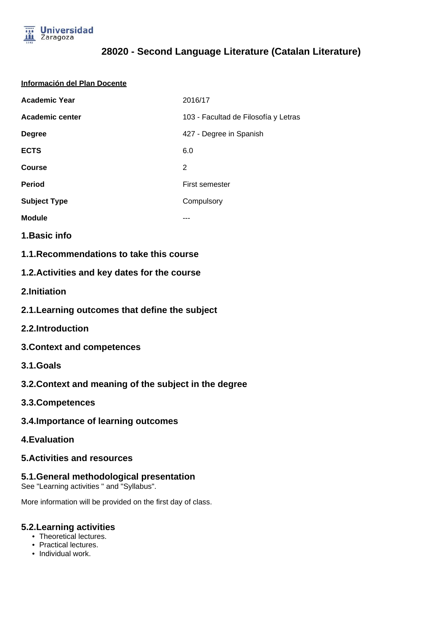

# **28020 - Second Language Literature (Catalan Literature)**

|  | Información del Plan Docente |  |  |
|--|------------------------------|--|--|
|--|------------------------------|--|--|

| <b>Academic Year</b> | 2016/17                              |
|----------------------|--------------------------------------|
| Academic center      | 103 - Facultad de Filosofía y Letras |
| <b>Degree</b>        | 427 - Degree in Spanish              |
| <b>ECTS</b>          | 6.0                                  |
| Course               | 2                                    |
| <b>Period</b>        | First semester                       |
| <b>Subject Type</b>  | Compulsory                           |
| <b>Module</b>        |                                      |

**1.Basic info**

**1.1.Recommendations to take this course**

### **1.2.Activities and key dates for the course**

- **2.Initiation**
- **2.1.Learning outcomes that define the subject**
- **2.2.Introduction**
- **3.Context and competences**
- **3.1.Goals**
- **3.2.Context and meaning of the subject in the degree**
- **3.3.Competences**
- **3.4.Importance of learning outcomes**
- **4.Evaluation**

#### **5.Activities and resources**

#### **5.1.General methodological presentation**

See "Learning activities " and "Syllabus".

More information will be provided on the first day of class.

#### **5.2.Learning activities**

- Theoretical lectures.
- Practical lectures.
- Individual work.